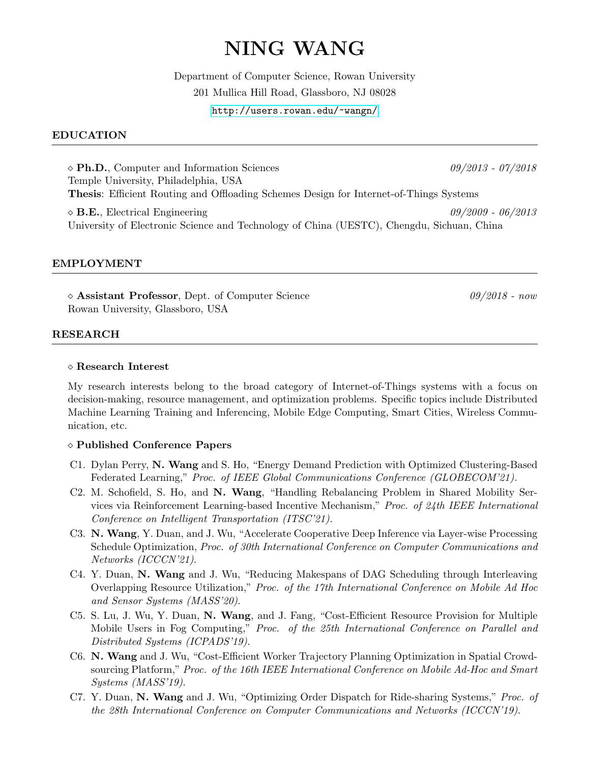# NING WANG

Department of Computer Science, Rowan University 201 Mullica Hill Road, Glassboro, NJ 08028 <http://users.rowan.edu/~wangn/>

## EDUCATION

 $\Diamond$  Ph.D., Computer and Information Sciences 09/2013 - 07/2018 Temple University, Philadelphia, USA Thesis: Efficient Routing and Offloading Schemes Design for Internet-of-Things Systems  $\Diamond$  **B.E.**, Electrical Engineering  $09/2009$  -  $06/2013$ 

University of Electronic Science and Technology of China (UESTC), Chengdu, Sichuan, China

#### EMPLOYMENT

 $\Diamond$  Assistant Professor, Dept. of Computer Science 09/2018 - now Rowan University, Glassboro, USA

#### RESEARCH

#### Research Interest

My research interests belong to the broad category of Internet-of-Things systems with a focus on decision-making, resource management, and optimization problems. Specific topics include Distributed Machine Learning Training and Inferencing, Mobile Edge Computing, Smart Cities, Wireless Communication, etc.

#### Published Conference Papers

- C1. Dylan Perry, N. Wang and S. Ho, "Energy Demand Prediction with Optimized Clustering-Based Federated Learning," Proc. of IEEE Global Communications Conference (GLOBECOM'21).
- C2. M. Schofield, S. Ho, and N. Wang, "Handling Rebalancing Problem in Shared Mobility Services via Reinforcement Learning-based Incentive Mechanism," Proc. of 24th IEEE International Conference on Intelligent Transportation (ITSC'21).
- C3. N. Wang, Y. Duan, and J. Wu, "Accelerate Cooperative Deep Inference via Layer-wise Processing Schedule Optimization, Proc. of 30th International Conference on Computer Communications and Networks (ICCCN'21).
- C4. Y. Duan, N. Wang and J. Wu, "Reducing Makespans of DAG Scheduling through Interleaving Overlapping Resource Utilization," Proc. of the 17th International Conference on Mobile Ad Hoc and Sensor Systems (MASS'20).
- C5. S. Lu, J. Wu, Y. Duan, N. Wang, and J. Fang, "Cost-Efficient Resource Provision for Multiple Mobile Users in Fog Computing," Proc. of the 25th International Conference on Parallel and Distributed Systems (ICPADS'19).
- C6. N. Wang and J. Wu, "Cost-Efficient Worker Trajectory Planning Optimization in Spatial Crowdsourcing Platform," Proc. of the 16th IEEE International Conference on Mobile Ad-Hoc and Smart Systems (MASS'19).
- C7. Y. Duan, N. Wang and J. Wu, "Optimizing Order Dispatch for Ride-sharing Systems," Proc. of the 28th International Conference on Computer Communications and Networks (ICCCN'19).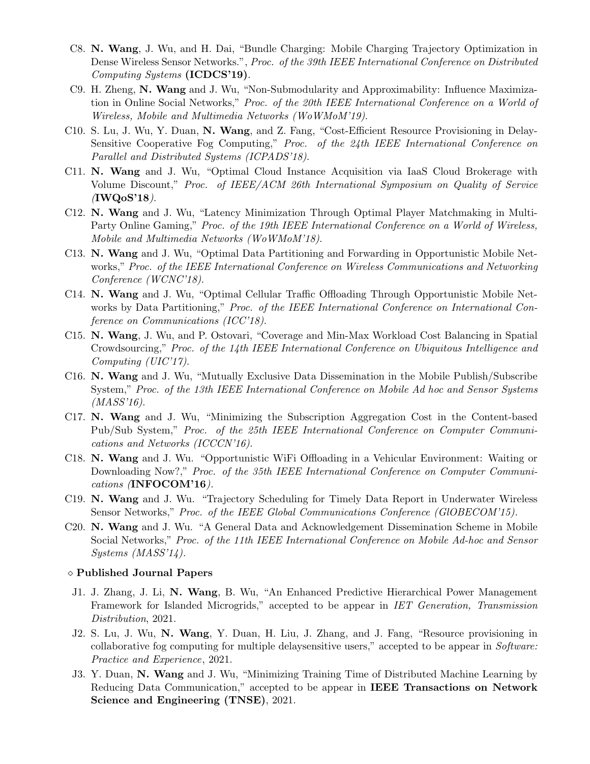- C8. N. Wang, J. Wu, and H. Dai, "Bundle Charging: Mobile Charging Trajectory Optimization in Dense Wireless Sensor Networks.", Proc. of the 39th IEEE International Conference on Distributed Computing Systems (ICDCS'19).
- C9. H. Zheng, N. Wang and J. Wu, "Non-Submodularity and Approximability: Influence Maximization in Online Social Networks," Proc. of the 20th IEEE International Conference on a World of Wireless, Mobile and Multimedia Networks (WoWMoM'19).
- C10. S. Lu, J. Wu, Y. Duan, N. Wang, and Z. Fang, "Cost-Efficient Resource Provisioning in Delay-Sensitive Cooperative Fog Computing," Proc. of the 24th IEEE International Conference on Parallel and Distributed Systems (ICPADS'18).
- C11. N. Wang and J. Wu, "Optimal Cloud Instance Acquisition via IaaS Cloud Brokerage with Volume Discount," Proc. of IEEE/ACM 26th International Symposium on Quality of Service  $($ IWQoS'18 $)$ .
- C12. N. Wang and J. Wu, "Latency Minimization Through Optimal Player Matchmaking in Multi-Party Online Gaming," Proc. of the 19th IEEE International Conference on a World of Wireless, Mobile and Multimedia Networks (WoWMoM'18).
- C13. N. Wang and J. Wu, "Optimal Data Partitioning and Forwarding in Opportunistic Mobile Networks," Proc. of the IEEE International Conference on Wireless Communications and Networking Conference (WCNC'18).
- C14. N. Wang and J. Wu, "Optimal Cellular Traffic Offloading Through Opportunistic Mobile Networks by Data Partitioning," Proc. of the IEEE International Conference on International Conference on Communications (ICC'18).
- C15. N. Wang, J. Wu, and P. Ostovari, "Coverage and Min-Max Workload Cost Balancing in Spatial Crowdsourcing," Proc. of the 14th IEEE International Conference on Ubiquitous Intelligence and Computing (UIC'17).
- C16. N. Wang and J. Wu, "Mutually Exclusive Data Dissemination in the Mobile Publish/Subscribe System," Proc. of the 13th IEEE International Conference on Mobile Ad hoc and Sensor Systems (MASS'16).
- C17. N. Wang and J. Wu, "Minimizing the Subscription Aggregation Cost in the Content-based Pub/Sub System," Proc. of the 25th IEEE International Conference on Computer Communications and Networks (ICCCN'16).
- C18. N. Wang and J. Wu. "Opportunistic WiFi Offloading in a Vehicular Environment: Waiting or Downloading Now?," Proc. of the 35th IEEE International Conference on Computer Communications (INFOCOM'16).
- C19. N. Wang and J. Wu. "Trajectory Scheduling for Timely Data Report in Underwater Wireless Sensor Networks," Proc. of the IEEE Global Communications Conference (GlOBECOM'15).
- C20. N. Wang and J. Wu. "A General Data and Acknowledgement Dissemination Scheme in Mobile Social Networks," Proc. of the 11th IEEE International Conference on Mobile Ad-hoc and Sensor Systems (MASS'14).

#### Published Journal Papers

- J1. J. Zhang, J. Li, N. Wang, B. Wu, "An Enhanced Predictive Hierarchical Power Management Framework for Islanded Microgrids," accepted to be appear in IET Generation, Transmission Distribution, 2021.
- J2. S. Lu, J. Wu, N. Wang, Y. Duan, H. Liu, J. Zhang, and J. Fang, "Resource provisioning in collaborative fog computing for multiple delaysensitive users," accepted to be appear in Software: Practice and Experience, 2021.
- J3. Y. Duan, N. Wang and J. Wu, "Minimizing Training Time of Distributed Machine Learning by Reducing Data Communication," accepted to be appear in IEEE Transactions on Network Science and Engineering (TNSE), 2021.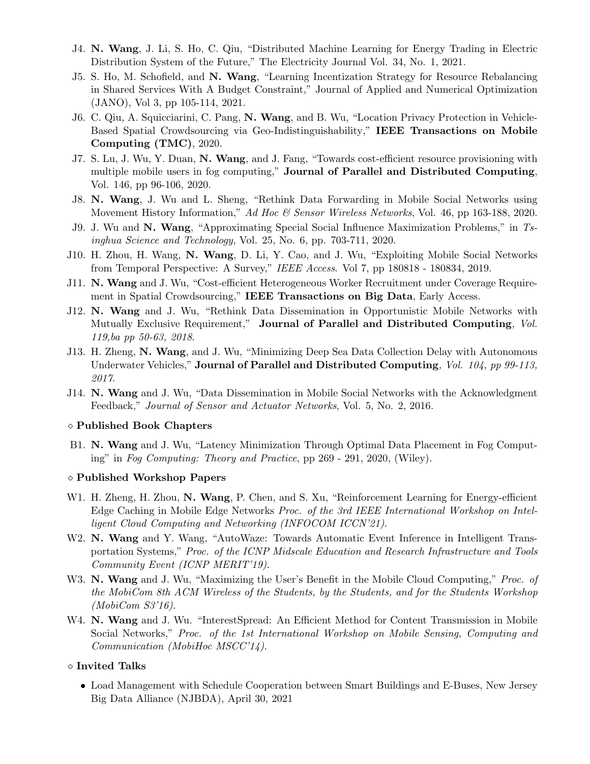- J4. N. Wang, J. Li, S. Ho, C. Qiu, "Distributed Machine Learning for Energy Trading in Electric Distribution System of the Future," The Electricity Journal Vol. 34, No. 1, 2021.
- J5. S. Ho, M. Schofield, and N. Wang, "Learning Incentization Strategy for Resource Rebalancing in Shared Services With A Budget Constraint," Journal of Applied and Numerical Optimization (JANO), Vol 3, pp 105-114, 2021.
- J6. C. Qiu, A. Squicciarini, C. Pang, N. Wang, and B. Wu, "Location Privacy Protection in Vehicle-Based Spatial Crowdsourcing via Geo-Indistinguishability," IEEE Transactions on Mobile Computing (TMC), 2020.
- J7. S. Lu, J. Wu, Y. Duan, N. Wang, and J. Fang, "Towards cost-efficient resource provisioning with multiple mobile users in fog computing," Journal of Parallel and Distributed Computing, Vol. 146, pp 96-106, 2020.
- J8. N. Wang, J. Wu and L. Sheng, "Rethink Data Forwarding in Mobile Social Networks using Movement History Information," Ad Hoc & Sensor Wireless Networks, Vol. 46, pp 163-188, 2020.
- J9. J. Wu and N. Wang, "Approximating Special Social Influence Maximization Problems," in Tsinghua Science and Technology, Vol. 25, No. 6, pp. 703-711, 2020.
- J10. H. Zhou, H. Wang, N. Wang, D. Li, Y. Cao, and J. Wu, "Exploiting Mobile Social Networks from Temporal Perspective: A Survey," IEEE Access. Vol 7, pp 180818 - 180834, 2019.
- J11. N. Wang and J. Wu, "Cost-efficient Heterogeneous Worker Recruitment under Coverage Requirement in Spatial Crowdsourcing," IEEE Transactions on Big Data, Early Access.
- J12. N. Wang and J. Wu, "Rethink Data Dissemination in Opportunistic Mobile Networks with Mutually Exclusive Requirement," Journal of Parallel and Distributed Computing, Vol. 119,ba pp 50-63, 2018.
- J13. H. Zheng, N. Wang, and J. Wu, "Minimizing Deep Sea Data Collection Delay with Autonomous Underwater Vehicles," Journal of Parallel and Distributed Computing, Vol. 104, pp 99-113, 2017.
- J14. N. Wang and J. Wu, "Data Dissemination in Mobile Social Networks with the Acknowledgment Feedback," Journal of Sensor and Actuator Networks, Vol. 5, No. 2, 2016.

#### Published Book Chapters

B1. N. Wang and J. Wu, "Latency Minimization Through Optimal Data Placement in Fog Computing" in Fog Computing: Theory and Practice, pp 269 - 291, 2020, (Wiley).

## Published Workshop Papers

- W1. H. Zheng, H. Zhou, N. Wang, P. Chen, and S. Xu, "Reinforcement Learning for Energy-efficient Edge Caching in Mobile Edge Networks Proc. of the 3rd IEEE International Workshop on Intelligent Cloud Computing and Networking (INFOCOM ICCN'21).
- W2. N. Wang and Y. Wang, "AutoWaze: Towards Automatic Event Inference in Intelligent Transportation Systems," Proc. of the ICNP Midscale Education and Research Infrastructure and Tools Community Event (ICNP MERIT'19).
- W3. N. Wang and J. Wu, "Maximizing the User's Benefit in the Mobile Cloud Computing," Proc. of the MobiCom 8th ACM Wireless of the Students, by the Students, and for the Students Workshop (MobiCom S3'16).
- W4. N. Wang and J. Wu. "InterestSpread: An Efficient Method for Content Transmission in Mobile Social Networks," Proc. of the 1st International Workshop on Mobile Sensing, Computing and Communication (MobiHoc MSCC'14).

#### Invited Talks

• Load Management with Schedule Cooperation between Smart Buildings and E-Buses, New Jersey Big Data Alliance (NJBDA), April 30, 2021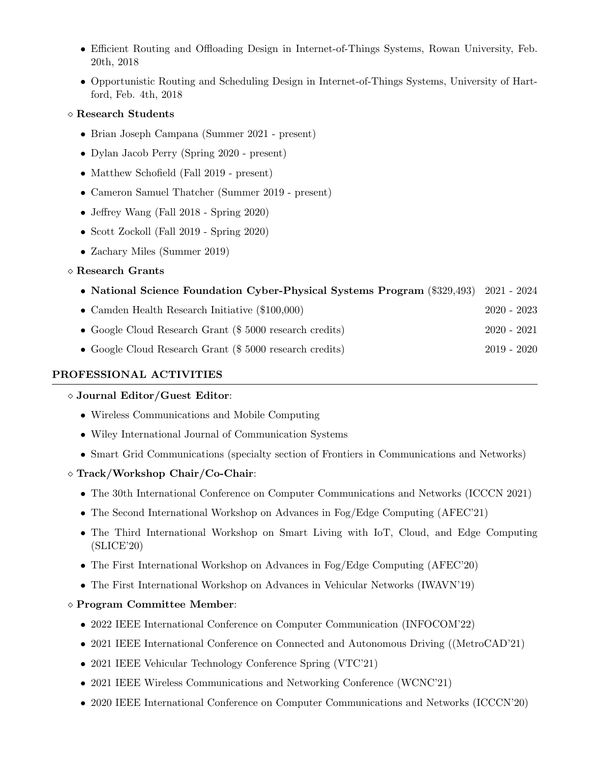- Efficient Routing and Offloading Design in Internet-of-Things Systems, Rowan University, Feb. 20th, 2018
- Opportunistic Routing and Scheduling Design in Internet-of-Things Systems, University of Hartford, Feb. 4th, 2018

## Research Students

- Brian Joseph Campana (Summer 2021 present)
- Dylan Jacob Perry (Spring 2020 present)
- Matthew Schofield (Fall 2019 present)
- Cameron Samuel Thatcher (Summer 2019 present)
- Jeffrey Wang (Fall 2018 Spring 2020)
- Scott Zockoll (Fall 2019 Spring 2020)
- Zachary Miles (Summer 2019)

## Research Grants

|  | • National Science Foundation Cyber-Physical Systems Program (\$329,493) 2021 - 2024 |  |  |  |  |  |  |  |  |
|--|--------------------------------------------------------------------------------------|--|--|--|--|--|--|--|--|
|--|--------------------------------------------------------------------------------------|--|--|--|--|--|--|--|--|

- Camden Health Research Initiative (\$100,000) 2020 2023
- Google Cloud Research Grant (\$ 5000 research credits) 2020 2021
- Google Cloud Research Grant (\$ 5000 research credits) 2019 2020

## PROFESSIONAL ACTIVITIES

## Journal Editor/Guest Editor:

- Wireless Communications and Mobile Computing
- Wiley International Journal of Communication Systems
- Smart Grid Communications (specialty section of Frontiers in Communications and Networks)

## $\Diamond$  Track/Workshop Chair/Co-Chair:

- The 30th International Conference on Computer Communications and Networks (ICCCN 2021)
- The Second International Workshop on Advances in Fog/Edge Computing (AFEC'21)
- The Third International Workshop on Smart Living with IoT, Cloud, and Edge Computing (SLICE'20)
- The First International Workshop on Advances in Fog/Edge Computing (AFEC'20)
- The First International Workshop on Advances in Vehicular Networks (IWAVN'19)

## Program Committee Member:

- 2022 IEEE International Conference on Computer Communication (INFOCOM'22)
- 2021 IEEE International Conference on Connected and Autonomous Driving ((MetroCAD'21)
- 2021 IEEE Vehicular Technology Conference Spring (VTC'21)
- 2021 IEEE Wireless Communications and Networking Conference (WCNC'21)
- 2020 IEEE International Conference on Computer Communications and Networks (ICCCN'20)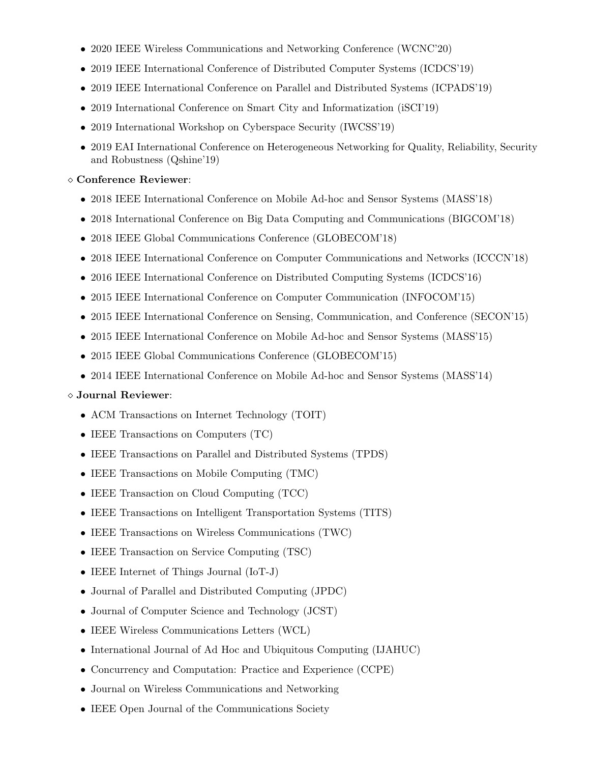- 2020 IEEE Wireless Communications and Networking Conference (WCNC'20)
- 2019 IEEE International Conference of Distributed Computer Systems (ICDCS'19)
- 2019 IEEE International Conference on Parallel and Distributed Systems (ICPADS'19)
- 2019 International Conference on Smart City and Informatization (iSCI'19)
- 2019 International Workshop on Cyberspace Security (IWCSS'19)
- 2019 EAI International Conference on Heterogeneous Networking for Quality, Reliability, Security and Robustness (Qshine'19)

## Conference Reviewer:

- 2018 IEEE International Conference on Mobile Ad-hoc and Sensor Systems (MASS'18)
- 2018 International Conference on Big Data Computing and Communications (BIGCOM'18)
- 2018 IEEE Global Communications Conference (GLOBECOM'18)
- 2018 IEEE International Conference on Computer Communications and Networks (ICCCN'18)
- 2016 IEEE International Conference on Distributed Computing Systems (ICDCS'16)
- 2015 IEEE International Conference on Computer Communication (INFOCOM'15)
- 2015 IEEE International Conference on Sensing, Communication, and Conference (SECON'15)
- 2015 IEEE International Conference on Mobile Ad-hoc and Sensor Systems (MASS'15)
- 2015 IEEE Global Communications Conference (GLOBECOM'15)
- 2014 IEEE International Conference on Mobile Ad-hoc and Sensor Systems (MASS'14)

# Journal Reviewer:

- ACM Transactions on Internet Technology (TOIT)
- IEEE Transactions on Computers (TC)
- IEEE Transactions on Parallel and Distributed Systems (TPDS)
- IEEE Transactions on Mobile Computing (TMC)
- IEEE Transaction on Cloud Computing (TCC)
- IEEE Transactions on Intelligent Transportation Systems (TITS)
- IEEE Transactions on Wireless Communications (TWC)
- IEEE Transaction on Service Computing (TSC)
- IEEE Internet of Things Journal (IoT-J)
- Journal of Parallel and Distributed Computing (JPDC)
- Journal of Computer Science and Technology (JCST)
- IEEE Wireless Communications Letters (WCL)
- International Journal of Ad Hoc and Ubiquitous Computing (IJAHUC)
- Concurrency and Computation: Practice and Experience (CCPE)
- Journal on Wireless Communications and Networking
- IEEE Open Journal of the Communications Society